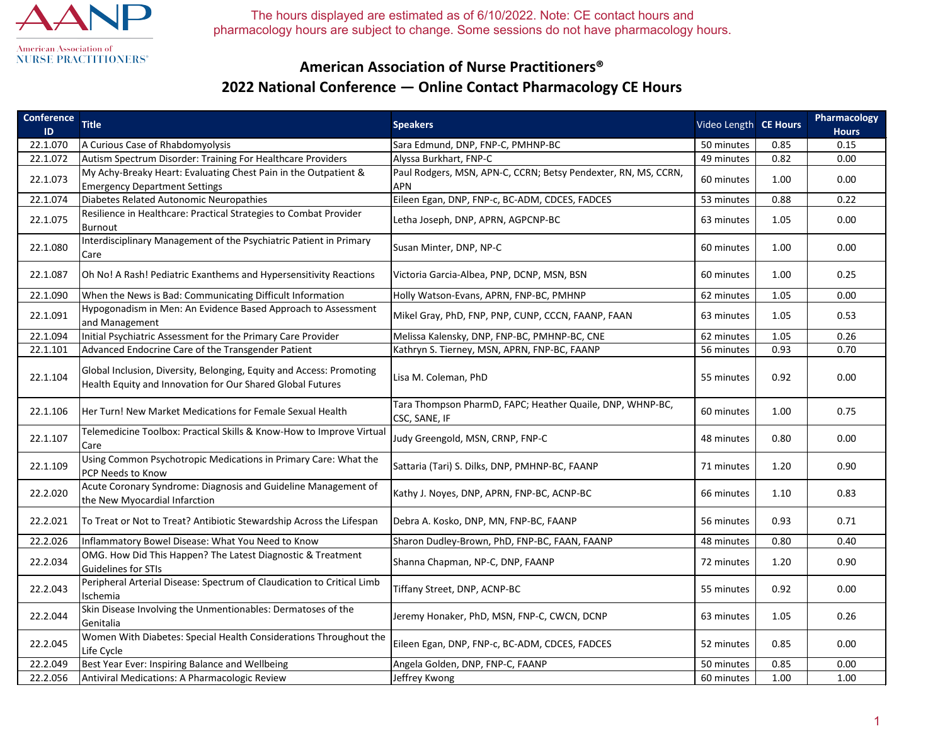

## **American Association of Nurse Practitioners® 2022 National Conference — Online Contact Pharmacology CE Hours**

| <b>Conference</b><br>$\mathsf{ID}$ | <b>Title</b>                                                                                                                       | <b>Speakers</b>                                                              | Video Length CE Hours |      | Pharmacology<br><b>Hours</b> |
|------------------------------------|------------------------------------------------------------------------------------------------------------------------------------|------------------------------------------------------------------------------|-----------------------|------|------------------------------|
| 22.1.070                           | A Curious Case of Rhabdomyolysis                                                                                                   | Sara Edmund, DNP, FNP-C, PMHNP-BC                                            | 50 minutes            | 0.85 | 0.15                         |
| 22.1.072                           | Autism Spectrum Disorder: Training For Healthcare Providers                                                                        | Alyssa Burkhart, FNP-C                                                       | 49 minutes            | 0.82 | 0.00                         |
| 22.1.073                           | My Achy-Breaky Heart: Evaluating Chest Pain in the Outpatient &<br><b>Emergency Department Settings</b>                            | Paul Rodgers, MSN, APN-C, CCRN; Betsy Pendexter, RN, MS, CCRN,<br><b>APN</b> | 60 minutes            | 1.00 | 0.00                         |
| 22.1.074                           | Diabetes Related Autonomic Neuropathies                                                                                            | Eileen Egan, DNP, FNP-c, BC-ADM, CDCES, FADCES                               | 53 minutes            | 0.88 | 0.22                         |
| 22.1.075                           | Resilience in Healthcare: Practical Strategies to Combat Provider<br>Burnout                                                       | Letha Joseph, DNP, APRN, AGPCNP-BC                                           | 63 minutes            | 1.05 | 0.00                         |
| 22.1.080                           | Interdisciplinary Management of the Psychiatric Patient in Primary<br>Care                                                         | Susan Minter, DNP, NP-C                                                      | 60 minutes            | 1.00 | 0.00                         |
| 22.1.087                           | Oh No! A Rash! Pediatric Exanthems and Hypersensitivity Reactions                                                                  | Victoria Garcia-Albea, PNP, DCNP, MSN, BSN                                   | 60 minutes            | 1.00 | 0.25                         |
| 22.1.090                           | When the News is Bad: Communicating Difficult Information                                                                          | Holly Watson-Evans, APRN, FNP-BC, PMHNP                                      | 62 minutes            | 1.05 | 0.00                         |
| 22.1.091                           | Hypogonadism in Men: An Evidence Based Approach to Assessment<br>and Management                                                    | Mikel Gray, PhD, FNP, PNP, CUNP, CCCN, FAANP, FAAN                           | 63 minutes            | 1.05 | 0.53                         |
| 22.1.094                           | Initial Psychiatric Assessment for the Primary Care Provider                                                                       | Melissa Kalensky, DNP, FNP-BC, PMHNP-BC, CNE                                 | 62 minutes            | 1.05 | 0.26                         |
| 22.1.101                           | Advanced Endocrine Care of the Transgender Patient                                                                                 | Kathryn S. Tierney, MSN, APRN, FNP-BC, FAANP                                 | 56 minutes            | 0.93 | 0.70                         |
| 22.1.104                           | Global Inclusion, Diversity, Belonging, Equity and Access: Promoting<br>Health Equity and Innovation for Our Shared Global Futures | Lisa M. Coleman, PhD                                                         | 55 minutes            | 0.92 | 0.00                         |
| 22.1.106                           | Her Turn! New Market Medications for Female Sexual Health                                                                          | Tara Thompson PharmD, FAPC; Heather Quaile, DNP, WHNP-BC,<br>CSC, SANE, IF   | 60 minutes            | 1.00 | 0.75                         |
| 22.1.107                           | Telemedicine Toolbox: Practical Skills & Know-How to Improve Virtual<br>Care                                                       | Judy Greengold, MSN, CRNP, FNP-C                                             | 48 minutes            | 0.80 | 0.00                         |
| 22.1.109                           | Using Common Psychotropic Medications in Primary Care: What the<br>PCP Needs to Know                                               | Sattaria (Tari) S. Dilks, DNP, PMHNP-BC, FAANP                               | 71 minutes            | 1.20 | 0.90                         |
| 22.2.020                           | Acute Coronary Syndrome: Diagnosis and Guideline Management of<br>the New Myocardial Infarction                                    | Kathy J. Noyes, DNP, APRN, FNP-BC, ACNP-BC                                   | 66 minutes            | 1.10 | 0.83                         |
| 22.2.021                           | To Treat or Not to Treat? Antibiotic Stewardship Across the Lifespan                                                               | Debra A. Kosko, DNP, MN, FNP-BC, FAANP                                       | 56 minutes            | 0.93 | 0.71                         |
| 22.2.026                           | Inflammatory Bowel Disease: What You Need to Know                                                                                  | Sharon Dudley-Brown, PhD, FNP-BC, FAAN, FAANP                                | 48 minutes            | 0.80 | 0.40                         |
| 22.2.034                           | OMG. How Did This Happen? The Latest Diagnostic & Treatment<br>Guidelines for STIs                                                 | Shanna Chapman, NP-C, DNP, FAANP                                             | 72 minutes            | 1.20 | 0.90                         |
| 22.2.043                           | Peripheral Arterial Disease: Spectrum of Claudication to Critical Limb<br>Ischemia                                                 | Tiffany Street, DNP, ACNP-BC                                                 | 55 minutes            | 0.92 | 0.00                         |
| 22.2.044                           | Skin Disease Involving the Unmentionables: Dermatoses of the<br>Genitalia                                                          | Jeremy Honaker, PhD, MSN, FNP-C, CWCN, DCNP                                  | 63 minutes            | 1.05 | 0.26                         |
| 22.2.045                           | Women With Diabetes: Special Health Considerations Throughout the<br>Life Cycle                                                    | Eileen Egan, DNP, FNP-c, BC-ADM, CDCES, FADCES                               | 52 minutes            | 0.85 | 0.00                         |
| 22.2.049                           | Best Year Ever: Inspiring Balance and Wellbeing                                                                                    | Angela Golden, DNP, FNP-C, FAANP                                             | 50 minutes            | 0.85 | 0.00                         |
| 22.2.056                           | Antiviral Medications: A Pharmacologic Review                                                                                      | Jeffrey Kwong                                                                | 60 minutes            | 1.00 | 1.00                         |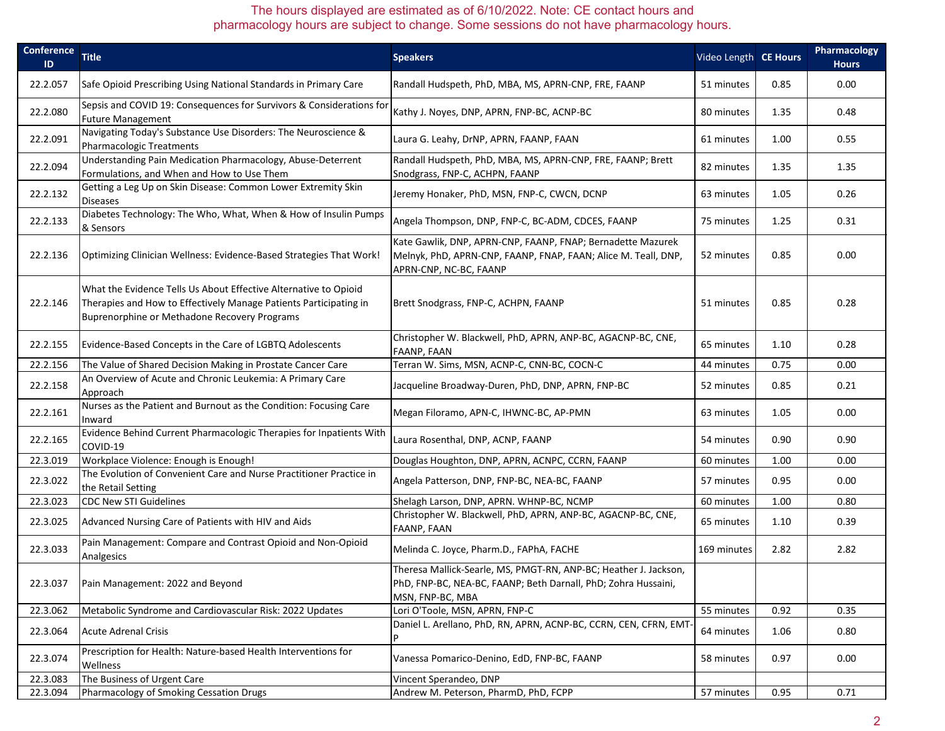| <b>Conference</b><br>$\mathsf{ID}$ | <b>Title</b>                                                                                                                                                                          | <b>Speakers</b>                                                                                                                                         | Video Length CE Hours |      | Pharmacology<br><b>Hours</b> |
|------------------------------------|---------------------------------------------------------------------------------------------------------------------------------------------------------------------------------------|---------------------------------------------------------------------------------------------------------------------------------------------------------|-----------------------|------|------------------------------|
| 22.2.057                           | Safe Opioid Prescribing Using National Standards in Primary Care                                                                                                                      | Randall Hudspeth, PhD, MBA, MS, APRN-CNP, FRE, FAANP                                                                                                    | 51 minutes            | 0.85 | 0.00                         |
| 22.2.080                           | Sepsis and COVID 19: Consequences for Survivors & Considerations for<br><b>Future Management</b>                                                                                      | Kathy J. Noyes, DNP, APRN, FNP-BC, ACNP-BC                                                                                                              | 80 minutes            | 1.35 | 0.48                         |
| 22.2.091                           | Navigating Today's Substance Use Disorders: The Neuroscience &<br>Pharmacologic Treatments                                                                                            | Laura G. Leahy, DrNP, APRN, FAANP, FAAN                                                                                                                 | 61 minutes            | 1.00 | 0.55                         |
| 22.2.094                           | Understanding Pain Medication Pharmacology, Abuse-Deterrent<br>Formulations, and When and How to Use Them                                                                             | Randall Hudspeth, PhD, MBA, MS, APRN-CNP, FRE, FAANP; Brett<br>Snodgrass, FNP-C, ACHPN, FAANP                                                           | 82 minutes            | 1.35 | 1.35                         |
| 22.2.132                           | Getting a Leg Up on Skin Disease: Common Lower Extremity Skin<br><b>Diseases</b>                                                                                                      | Jeremy Honaker, PhD, MSN, FNP-C, CWCN, DCNP                                                                                                             | 63 minutes            | 1.05 | 0.26                         |
| 22.2.133                           | Diabetes Technology: The Who, What, When & How of Insulin Pumps<br>& Sensors                                                                                                          | Angela Thompson, DNP, FNP-C, BC-ADM, CDCES, FAANP                                                                                                       | 75 minutes            | 1.25 | 0.31                         |
| 22.2.136                           | Optimizing Clinician Wellness: Evidence-Based Strategies That Work!                                                                                                                   | Kate Gawlik, DNP, APRN-CNP, FAANP, FNAP; Bernadette Mazurek<br>Melnyk, PhD, APRN-CNP, FAANP, FNAP, FAAN; Alice M. Teall, DNP,<br>APRN-CNP, NC-BC, FAANP | 52 minutes            | 0.85 | 0.00                         |
| 22.2.146                           | What the Evidence Tells Us About Effective Alternative to Opioid<br>Therapies and How to Effectively Manage Patients Participating in<br>Buprenorphine or Methadone Recovery Programs | Brett Snodgrass, FNP-C, ACHPN, FAANP                                                                                                                    | 51 minutes            | 0.85 | 0.28                         |
| 22.2.155                           | Evidence-Based Concepts in the Care of LGBTQ Adolescents                                                                                                                              | Christopher W. Blackwell, PhD, APRN, ANP-BC, AGACNP-BC, CNE,<br><b>FAANP, FAAN</b>                                                                      | 65 minutes            | 1.10 | 0.28                         |
| 22.2.156                           | The Value of Shared Decision Making in Prostate Cancer Care                                                                                                                           | Terran W. Sims, MSN, ACNP-C, CNN-BC, COCN-C                                                                                                             | 44 minutes            | 0.75 | 0.00                         |
| 22.2.158                           | An Overview of Acute and Chronic Leukemia: A Primary Care<br>Approach                                                                                                                 | Jacqueline Broadway-Duren, PhD, DNP, APRN, FNP-BC                                                                                                       | 52 minutes            | 0.85 | 0.21                         |
| 22.2.161                           | Nurses as the Patient and Burnout as the Condition: Focusing Care<br>Inward                                                                                                           | Megan Filoramo, APN-C, IHWNC-BC, AP-PMN                                                                                                                 | 63 minutes            | 1.05 | 0.00                         |
| 22.2.165                           | Evidence Behind Current Pharmacologic Therapies for Inpatients With<br>COVID-19                                                                                                       | Laura Rosenthal, DNP, ACNP, FAANP                                                                                                                       | 54 minutes            | 0.90 | 0.90                         |
| 22.3.019                           | Workplace Violence: Enough is Enough!                                                                                                                                                 | Douglas Houghton, DNP, APRN, ACNPC, CCRN, FAANP                                                                                                         | 60 minutes            | 1.00 | 0.00                         |
| 22.3.022                           | The Evolution of Convenient Care and Nurse Practitioner Practice in<br>the Retail Setting                                                                                             | Angela Patterson, DNP, FNP-BC, NEA-BC, FAANP                                                                                                            | 57 minutes            | 0.95 | 0.00                         |
| 22.3.023                           | <b>CDC New STI Guidelines</b>                                                                                                                                                         | Shelagh Larson, DNP, APRN. WHNP-BC, NCMP                                                                                                                | 60 minutes            | 1.00 | 0.80                         |
| 22.3.025                           | Advanced Nursing Care of Patients with HIV and Aids                                                                                                                                   | Christopher W. Blackwell, PhD, APRN, ANP-BC, AGACNP-BC, CNE,<br><b>FAANP, FAAN</b>                                                                      | 65 minutes            | 1.10 | 0.39                         |
| 22.3.033                           | Pain Management: Compare and Contrast Opioid and Non-Opioid<br>Analgesics                                                                                                             | Melinda C. Joyce, Pharm.D., FAPhA, FACHE                                                                                                                | 169 minutes           | 2.82 | 2.82                         |
| 22.3.037                           | Pain Management: 2022 and Beyond                                                                                                                                                      | Theresa Mallick-Searle, MS, PMGT-RN, ANP-BC; Heather J. Jackson,<br>PhD, FNP-BC, NEA-BC, FAANP; Beth Darnall, PhD; Zohra Hussaini,<br>MSN, FNP-BC, MBA  |                       |      |                              |
| 22.3.062                           | Metabolic Syndrome and Cardiovascular Risk: 2022 Updates                                                                                                                              | Lori O'Toole, MSN, APRN, FNP-C                                                                                                                          | 55 minutes            | 0.92 | 0.35                         |
| 22.3.064                           | Acute Adrenal Crisis                                                                                                                                                                  | Daniel L. Arellano, PhD, RN, APRN, ACNP-BC, CCRN, CEN, CFRN, EMT-                                                                                       | 64 minutes            | 1.06 | 0.80                         |
| 22.3.074                           | Prescription for Health: Nature-based Health Interventions for<br><b>Wellness</b>                                                                                                     | Vanessa Pomarico-Denino, EdD, FNP-BC, FAANP                                                                                                             | 58 minutes            | 0.97 | 0.00                         |
| 22.3.083                           | The Business of Urgent Care                                                                                                                                                           | Vincent Sperandeo, DNP                                                                                                                                  |                       |      |                              |
| 22.3.094                           | Pharmacology of Smoking Cessation Drugs                                                                                                                                               | Andrew M. Peterson, PharmD, PhD, FCPP                                                                                                                   | 57 minutes            | 0.95 | 0.71                         |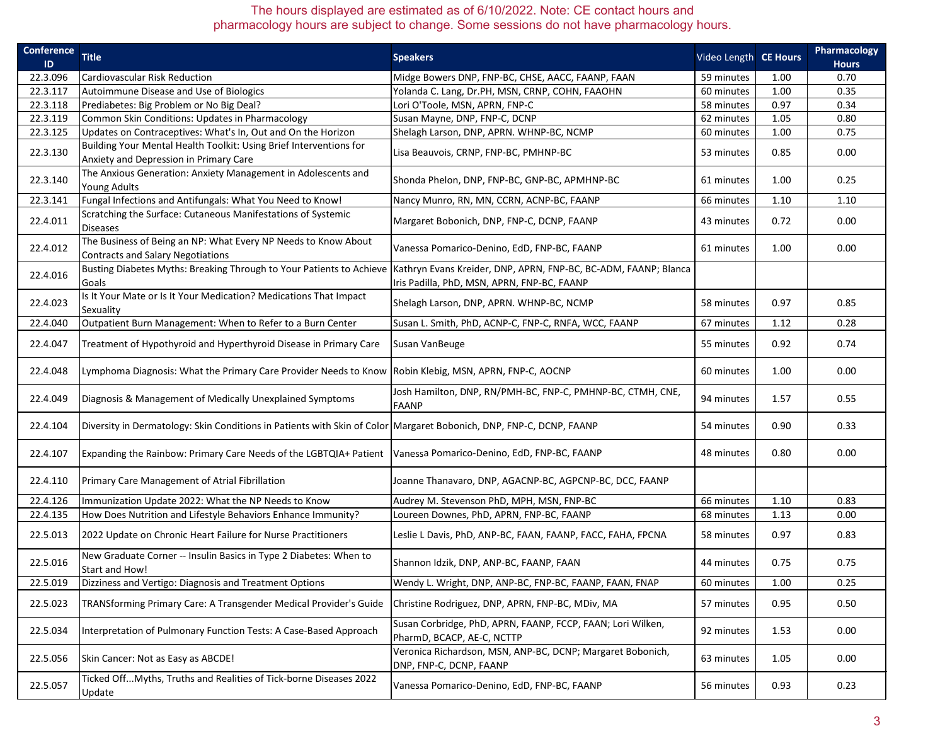| <b>Conference</b> | <b>Title</b>                                                                                                                          | <b>Speakers</b>                                                            | Video Length CE Hours |      | Pharmacology |
|-------------------|---------------------------------------------------------------------------------------------------------------------------------------|----------------------------------------------------------------------------|-----------------------|------|--------------|
| ID                |                                                                                                                                       |                                                                            |                       |      | <b>Hours</b> |
| 22.3.096          | <b>Cardiovascular Risk Reduction</b>                                                                                                  | Midge Bowers DNP, FNP-BC, CHSE, AACC, FAANP, FAAN                          | 59 minutes            | 1.00 | 0.70         |
| 22.3.117          | Autoimmune Disease and Use of Biologics                                                                                               | Yolanda C. Lang, Dr.PH, MSN, CRNP, COHN, FAAOHN                            | 60 minutes            | 1.00 | 0.35         |
| 22.3.118          | Prediabetes: Big Problem or No Big Deal?                                                                                              | Lori O'Toole, MSN, APRN, FNP-C                                             | 58 minutes            | 0.97 | 0.34         |
| 22.3.119          | Common Skin Conditions: Updates in Pharmacology                                                                                       | Susan Mayne, DNP, FNP-C, DCNP                                              | 62 minutes            | 1.05 | 0.80         |
| 22.3.125          | Updates on Contraceptives: What's In, Out and On the Horizon                                                                          | Shelagh Larson, DNP, APRN. WHNP-BC, NCMP                                   | 60 minutes            | 1.00 | 0.75         |
| 22.3.130          | Building Your Mental Health Toolkit: Using Brief Interventions for                                                                    | Lisa Beauvois, CRNP, FNP-BC, PMHNP-BC                                      | 53 minutes            | 0.85 | 0.00         |
|                   | Anxiety and Depression in Primary Care                                                                                                |                                                                            |                       |      |              |
| 22.3.140          | The Anxious Generation: Anxiety Management in Adolescents and                                                                         | Shonda Phelon, DNP, FNP-BC, GNP-BC, APMHNP-BC                              | 61 minutes            | 1.00 | 0.25         |
|                   | <b>Young Adults</b>                                                                                                                   |                                                                            |                       |      |              |
| 22.3.141          | Fungal Infections and Antifungals: What You Need to Know!                                                                             | Nancy Munro, RN, MN, CCRN, ACNP-BC, FAANP                                  | 66 minutes            | 1.10 | 1.10         |
| 22.4.011          | Scratching the Surface: Cutaneous Manifestations of Systemic                                                                          | Margaret Bobonich, DNP, FNP-C, DCNP, FAANP                                 | 43 minutes            | 0.72 | 0.00         |
|                   | <b>Diseases</b>                                                                                                                       |                                                                            |                       |      |              |
| 22.4.012          | The Business of Being an NP: What Every NP Needs to Know About                                                                        | Vanessa Pomarico-Denino, EdD, FNP-BC, FAANP                                | 61 minutes            | 1.00 | 0.00         |
|                   | Contracts and Salary Negotiations                                                                                                     |                                                                            |                       |      |              |
| 22.4.016          | Busting Diabetes Myths: Breaking Through to Your Patients to Achieve  Kathryn Evans Kreider, DNP, APRN, FNP-BC, BC-ADM, FAANP; Blanca |                                                                            |                       |      |              |
|                   | Goals                                                                                                                                 | Iris Padilla, PhD, MSN, APRN, FNP-BC, FAANP                                |                       |      |              |
| 22.4.023          | Is It Your Mate or Is It Your Medication? Medications That Impact                                                                     | Shelagh Larson, DNP, APRN. WHNP-BC, NCMP                                   | 58 minutes            | 0.97 | 0.85         |
|                   | Sexuality                                                                                                                             |                                                                            |                       |      |              |
| 22.4.040          | Outpatient Burn Management: When to Refer to a Burn Center                                                                            | Susan L. Smith, PhD, ACNP-C, FNP-C, RNFA, WCC, FAANP                       | 67 minutes            | 1.12 | 0.28         |
| 22.4.047          | Treatment of Hypothyroid and Hyperthyroid Disease in Primary Care                                                                     | Susan VanBeuge                                                             | 55 minutes            | 0.92 | 0.74         |
|                   |                                                                                                                                       |                                                                            |                       |      |              |
| 22.4.048          | Lymphoma Diagnosis: What the Primary Care Provider Needs to Know Robin Klebig, MSN, APRN, FNP-C, AOCNP                                |                                                                            | 60 minutes            | 1.00 | 0.00         |
|                   |                                                                                                                                       |                                                                            |                       |      |              |
| 22.4.049          | Diagnosis & Management of Medically Unexplained Symptoms                                                                              | Josh Hamilton, DNP, RN/PMH-BC, FNP-C, PMHNP-BC, CTMH, CNE,<br><b>FAANP</b> | 94 minutes            | 1.57 | 0.55         |
|                   |                                                                                                                                       |                                                                            |                       |      |              |
| 22.4.104          | Diversity in Dermatology: Skin Conditions in Patients with Skin of Color Margaret Bobonich, DNP, FNP-C, DCNP, FAANP                   |                                                                            | 54 minutes            | 0.90 | 0.33         |
|                   |                                                                                                                                       |                                                                            |                       |      |              |
| 22.4.107          | Expanding the Rainbow: Primary Care Needs of the LGBTQIA+ Patient  Vanessa Pomarico-Denino, EdD, FNP-BC, FAANP                        |                                                                            | 48 minutes            | 0.80 | 0.00         |
|                   |                                                                                                                                       |                                                                            |                       |      |              |
| 22.4.110          | Primary Care Management of Atrial Fibrillation                                                                                        | Joanne Thanavaro, DNP, AGACNP-BC, AGPCNP-BC, DCC, FAANP                    |                       |      |              |
|                   |                                                                                                                                       |                                                                            |                       |      |              |
| 22.4.126          | Immunization Update 2022: What the NP Needs to Know                                                                                   | Audrey M. Stevenson PhD, MPH, MSN, FNP-BC                                  | 66 minutes            | 1.10 | 0.83         |
| 22.4.135          | How Does Nutrition and Lifestyle Behaviors Enhance Immunity?                                                                          | Loureen Downes, PhD, APRN, FNP-BC, FAANP                                   | 68 minutes            | 1.13 | 0.00         |
| 22.5.013          | 2022 Update on Chronic Heart Failure for Nurse Practitioners                                                                          | Leslie L Davis, PhD, ANP-BC, FAAN, FAANP, FACC, FAHA, FPCNA                | 58 minutes            | 0.97 | 0.83         |
|                   |                                                                                                                                       |                                                                            |                       |      |              |
| 22.5.016          | New Graduate Corner -- Insulin Basics in Type 2 Diabetes: When to                                                                     | Shannon Idzik, DNP, ANP-BC, FAANP, FAAN                                    | 44 minutes            | 0.75 | 0.75         |
|                   | Start and How!                                                                                                                        |                                                                            |                       |      |              |
| 22.5.019          | Dizziness and Vertigo: Diagnosis and Treatment Options                                                                                | Wendy L. Wright, DNP, ANP-BC, FNP-BC, FAANP, FAAN, FNAP                    | 60 minutes            | 1.00 | 0.25         |
| 22.5.023          | TRANSforming Primary Care: A Transgender Medical Provider's Guide                                                                     | Christine Rodriguez, DNP, APRN, FNP-BC, MDiv, MA                           | 57 minutes            | 0.95 | 0.50         |
|                   |                                                                                                                                       |                                                                            |                       |      |              |
| 22.5.034          | Interpretation of Pulmonary Function Tests: A Case-Based Approach                                                                     | Susan Corbridge, PhD, APRN, FAANP, FCCP, FAAN; Lori Wilken,                | 92 minutes            | 1.53 | 0.00         |
|                   |                                                                                                                                       | PharmD, BCACP, AE-C, NCTTP                                                 |                       |      |              |
| 22.5.056          | Skin Cancer: Not as Easy as ABCDE!                                                                                                    | Veronica Richardson, MSN, ANP-BC, DCNP; Margaret Bobonich,                 | 63 minutes            | 1.05 | 0.00         |
|                   |                                                                                                                                       | DNP, FNP-C, DCNP, FAANP                                                    |                       |      |              |
| 22.5.057          | Ticked OffMyths, Truths and Realities of Tick-borne Diseases 2022                                                                     | Vanessa Pomarico-Denino, EdD, FNP-BC, FAANP                                | 56 minutes            | 0.93 | 0.23         |
|                   | Update                                                                                                                                |                                                                            |                       |      |              |